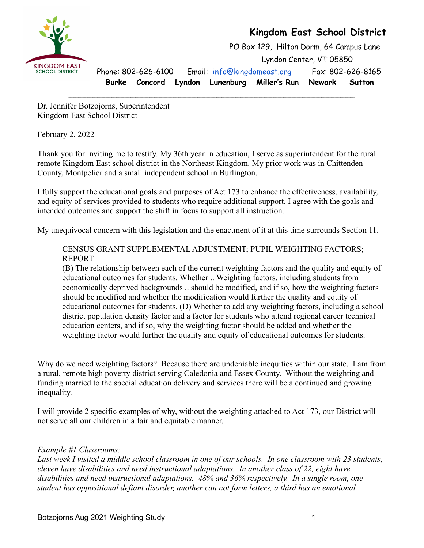



PO Box 129, Hilton Dorm, 64 Campus Lane Lyndon Center, VT 05850 Phone: 802-626-6100 Email: [info@kingdomeast.org](mailto:info@kingdomeast.org) Fax: 802-626-8165 **Burke Concord Lyndon Lunenburg Miller's Run Newark Sutton**

Dr. Jennifer Botzojorns, Superintendent Kingdom East School District

February 2, 2022

Thank you for inviting me to testify. My 36th year in education, I serve as superintendent for the rural remote Kingdom East school district in the Northeast Kingdom. My prior work was in Chittenden County, Montpelier and a small independent school in Burlington.

\_\_\_\_\_\_\_\_\_\_\_\_\_\_\_\_\_\_\_\_\_\_\_\_\_\_\_\_\_\_\_\_\_\_\_\_\_\_\_\_\_\_\_\_\_\_\_\_\_\_\_\_\_\_\_\_\_\_\_\_

I fully support the educational goals and purposes of Act 173 to enhance the effectiveness, availability, and equity of services provided to students who require additional support. I agree with the goals and intended outcomes and support the shift in focus to support all instruction.

My unequivocal concern with this legislation and the enactment of it at this time surrounds Section 11.

CENSUS GRANT SUPPLEMENTAL ADJUSTMENT; PUPIL WEIGHTING FACTORS; REPORT

(B) The relationship between each of the current weighting factors and the quality and equity of educational outcomes for students. Whether .. Weighting factors, including students from economically deprived backgrounds .. should be modified, and if so, how the weighting factors should be modified and whether the modification would further the quality and equity of educational outcomes for students. (D) Whether to add any weighting factors, including a school district population density factor and a factor for students who attend regional career technical education centers, and if so, why the weighting factor should be added and whether the weighting factor would further the quality and equity of educational outcomes for students.

Why do we need weighting factors? Because there are undeniable inequities within our state. I am from a rural, remote high poverty district serving Caledonia and Essex County. Without the weighting and funding married to the special education delivery and services there will be a continued and growing inequality.

I will provide 2 specific examples of why, without the weighting attached to Act 173, our District will not serve all our children in a fair and equitable manner.

## *Example #1 Classrooms:*

*Last week I visited a middle school classroom in one of our schools. In one classroom with 23 students, eleven have disabilities and need instructional adaptations. In another class of 22, eight have disabilities and need instructional adaptations. 48% and 36% respectively. In a single room, one student has oppositional defiant disorder, another can not form letters, a third has an emotional*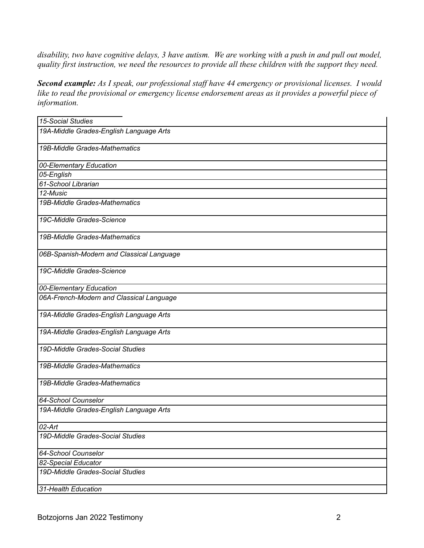*disability, two have cognitive delays, 3 have autism. We are working with a push in and pull out model, quality first instruction, we need the resources to provide all these children with the support they need.*

*Second example: As I speak, our professional staff have 44 emergency or provisional licenses. I would like to read the provisional or emergency license endorsement areas as it provides a powerful piece of information.*

| <b>15-Social Studies</b>                  |
|-------------------------------------------|
| 19A-Middle Grades-English Language Arts   |
| 19B-Middle Grades-Mathematics             |
| 00-Elementary Education                   |
| 05-English                                |
| 61-School Librarian                       |
| 12-Music                                  |
| 19B-Middle Grades-Mathematics             |
| 19C-Middle Grades-Science                 |
| 19B-Middle Grades-Mathematics             |
| 06B-Spanish-Modern and Classical Language |
| 19C-Middle Grades-Science                 |
| 00-Elementary Education                   |
| 06A-French-Modern and Classical Language  |
| 19A-Middle Grades-English Language Arts   |
| 19A-Middle Grades-English Language Arts   |
| 19D-Middle Grades-Social Studies          |
| 19B-Middle Grades-Mathematics             |
| 19B-Middle Grades-Mathematics             |
| 64-School Counselor                       |
| 19A-Middle Grades-English Language Arts   |
| $\overline{02-Art}$                       |
| 19D-Middle Grades-Social Studies          |
| 64-School Counselor                       |
| 82-Special Educator                       |
| 19D-Middle Grades-Social Studies          |
| 31-Health Education                       |